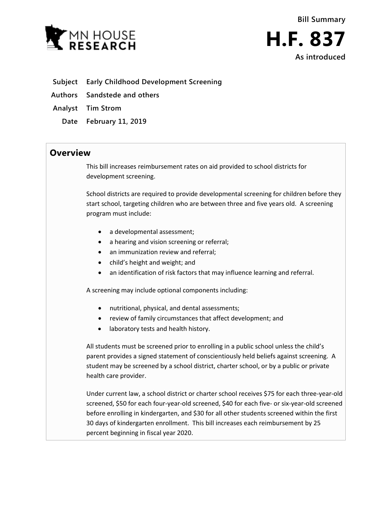

- **Subject Early Childhood Development Screening**
- **Authors Sandstede and others**
- **Analyst Tim Strom**
	- **Date February 11, 2019**

## **Overview**

This bill increases reimbursement rates on aid provided to school districts for development screening.

School districts are required to provide developmental screening for children before they start school, targeting children who are between three and five years old. A screening program must include:

- a developmental assessment;
- a hearing and vision screening or referral;
- an immunization review and referral;
- child's height and weight; and
- an identification of risk factors that may influence learning and referral.

A screening may include optional components including:

- nutritional, physical, and dental assessments;
- review of family circumstances that affect development; and
- laboratory tests and health history.

All students must be screened prior to enrolling in a public school unless the child's parent provides a signed statement of conscientiously held beliefs against screening. A student may be screened by a school district, charter school, or by a public or private health care provider.

Under current law, a school district or charter school receives \$75 for each three-year-old screened, \$50 for each four-year-old screened, \$40 for each five- or six-year-old screened before enrolling in kindergarten, and \$30 for all other students screened within the first 30 days of kindergarten enrollment. This bill increases each reimbursement by 25 percent beginning in fiscal year 2020.